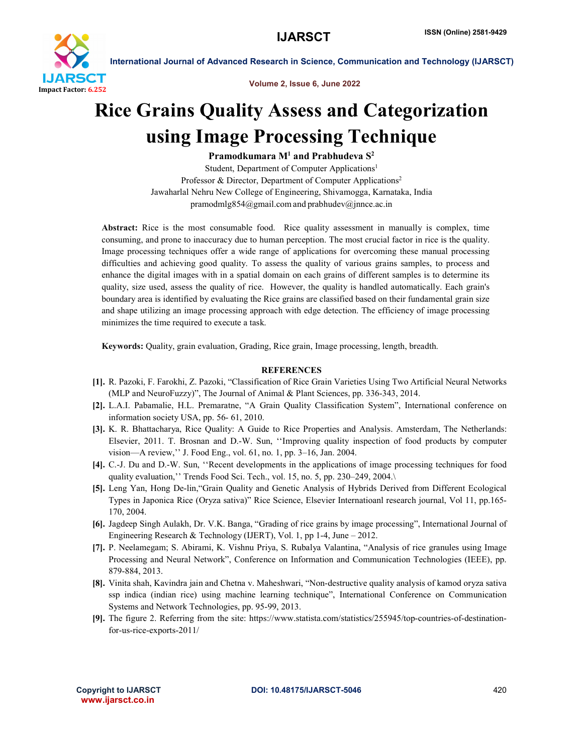

International Journal of Advanced Research in Science, Communication and Technology (IJARSCT)

Volume 2, Issue 6, June 2022

## Rice Grains Quality Assess and Categorization using Image Processing Technique

Pramodkumara  $M<sup>1</sup>$  and Prabhudeva  $S<sup>2</sup>$ 

Student, Department of Computer Applications<sup>1</sup> Professor & Director, Department of Computer Applications<sup>2</sup> Jawaharlal Nehru New College of Engineering, Shivamogga, Karnataka, India pramodmlg854@gmail.com and prabhudev@jnnce.ac.in

Abstract: Rice is the most consumable food. Rice quality assessment in manually is complex, time consuming, and prone to inaccuracy due to human perception. The most crucial factor in rice is the quality. Image processing techniques offer a wide range of applications for overcoming these manual processing difficulties and achieving good quality. To assess the quality of various grains samples, to process and enhance the digital images with in a spatial domain on each grains of different samples is to determine its quality, size used, assess the quality of rice. However, the quality is handled automatically. Each grain's boundary area is identified by evaluating the Rice grains are classified based on their fundamental grain size and shape utilizing an image processing approach with edge detection. The efficiency of image processing minimizes the time required to execute a task.

Keywords: Quality, grain evaluation, Grading, Rice grain, Image processing, length, breadth.

## **REFERENCES**

- [1]. R. Pazoki, F. Farokhi, Z. Pazoki, "Classification of Rice Grain Varieties Using Two Artificial Neural Networks (MLP and NeuroFuzzy)", The Journal of Animal & Plant Sciences, pp. 336-343, 2014.
- [2]. L.A.I. Pabamalie, H.L. Premaratne, "A Grain Quality Classification System", International conference on information society USA, pp. 56- 61, 2010.
- [3]. K. R. Bhattacharya, Rice Quality: A Guide to Rice Properties and Analysis. Amsterdam, The Netherlands: Elsevier, 2011. T. Brosnan and D.-W. Sun, ''Improving quality inspection of food products by computer vision—A review,'' J. Food Eng., vol. 61, no. 1, pp. 3–16, Jan. 2004.
- [4]. C.-J. Du and D.-W. Sun, ''Recent developments in the applications of image processing techniques for food quality evaluation," Trends Food Sci. Tech., vol. 15, no. 5, pp. 230–249, 2004.\
- [5]. Leng Yan, Hong De-lin,"Grain Quality and Genetic Analysis of Hybrids Derived from Different Ecological Types in Japonica Rice (Oryza sativa)" Rice Science, Elsevier Internatioanl research journal, Vol 11, pp.165- 170, 2004.
- [6]. Jagdeep Singh Aulakh, Dr. V.K. Banga, "Grading of rice grains by image processing", International Journal of Engineering Research & Technology (IJERT), Vol. 1, pp 1-4, June – 2012.
- [7]. P. Neelamegam; S. Abirami, K. Vishnu Priya, S. Rubalya Valantina, "Analysis of rice granules using Image Processing and Neural Network", Conference on Information and Communication Technologies (IEEE), pp. 879-884, 2013.
- [8]. Vinita shah, Kavindra jain and Chetna v. Maheshwari, "Non-destructive quality analysis of kamod oryza sativa ssp indica (indian rice) using machine learning technique", International Conference on Communication Systems and Network Technologies, pp. 95-99, 2013.
- [9]. The figure 2. Referring from the site: https://www.statista.com/statistics/255945/top-countries-of-destinationfor-us-rice-exports-2011/